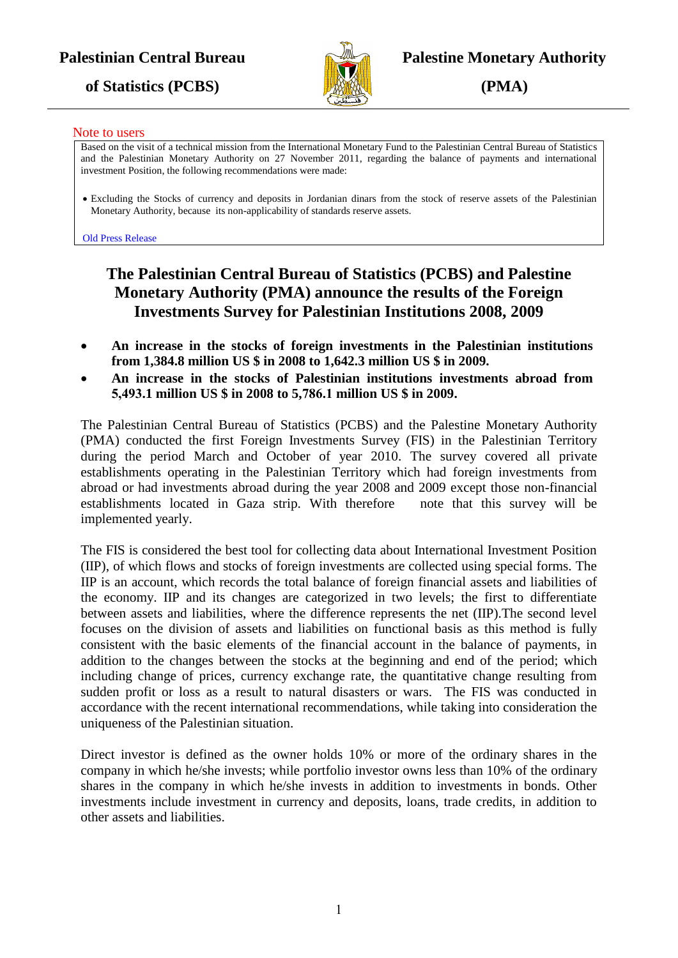# **Palestinian Central Bureau**

**of Statistics (PCBS)**



**(PMA)**

#### Note to users

Based on the visit of a technical mission from the International Monetary Fund to the Palestinian Central Bureau of Statistics and the Palestinian Monetary Authority on 27 November 2011, regarding the balance of payments and international investment Position, the following recommendations were made:

 Excluding the Stocks of currency and deposits in Jordanian dinars from the stock of reserve assets of the Palestinian Monetary Authority, because its non-applicability of standards reserve assets.

[Old Press Release](AdjDrFIS09-E.pdf)

# **The Palestinian Central Bureau of Statistics (PCBS) and Palestine Monetary Authority (PMA) announce the results of the Foreign Investments Survey for Palestinian Institutions 2008, 2009**

- **An increase in the stocks of foreign investments in the Palestinian institutions from 1,384.8 million US \$ in 2008 to 1,642.3 million US \$ in 2009.**
- **An increase in the stocks of Palestinian institutions investments abroad from**  5,493.1 million US \$ in 2008 to 5,786.1 million US \$ in 2009.

The Palestinian Central Bureau of Statistics (PCBS) and the Palestine Monetary Authority (PMA) conducted the first Foreign Investments Survey (FIS) in the Palestinian Territory during the period March and October of year 2010. The survey covered all private establishments operating in the Palestinian Territory which had foreign investments from abroad or had investments abroad during the year 2008 and 2009 except those non-financial establishments located in Gaza strip. With therefore note that this survey will be implemented yearly.

The FIS is considered the best tool for collecting data about International Investment Position (IIP), of which flows and stocks of foreign investments are collected using special forms. The IIP is an account, which records the total balance of foreign financial assets and liabilities of the economy. IIP and its changes are categorized in two levels; the first to differentiate between assets and liabilities, where the difference represents the net (IIP).The second level focuses on the division of assets and liabilities on functional basis as this method is fully consistent with the basic elements of the financial account in the balance of payments, in addition to the changes between the stocks at the beginning and end of the period; which including change of prices, currency exchange rate, the quantitative change resulting from sudden profit or loss as a result to natural disasters or wars. The FIS was conducted in accordance with the recent international recommendations, while taking into consideration the uniqueness of the Palestinian situation.

Direct investor is defined as the owner holds 10% or more of the ordinary shares in the company in which he/she invests; while portfolio investor owns less than 10% of the ordinary shares in the company in which he/she invests in addition to investments in bonds. Other investments include investment in currency and deposits, loans, trade credits, in addition to other assets and liabilities.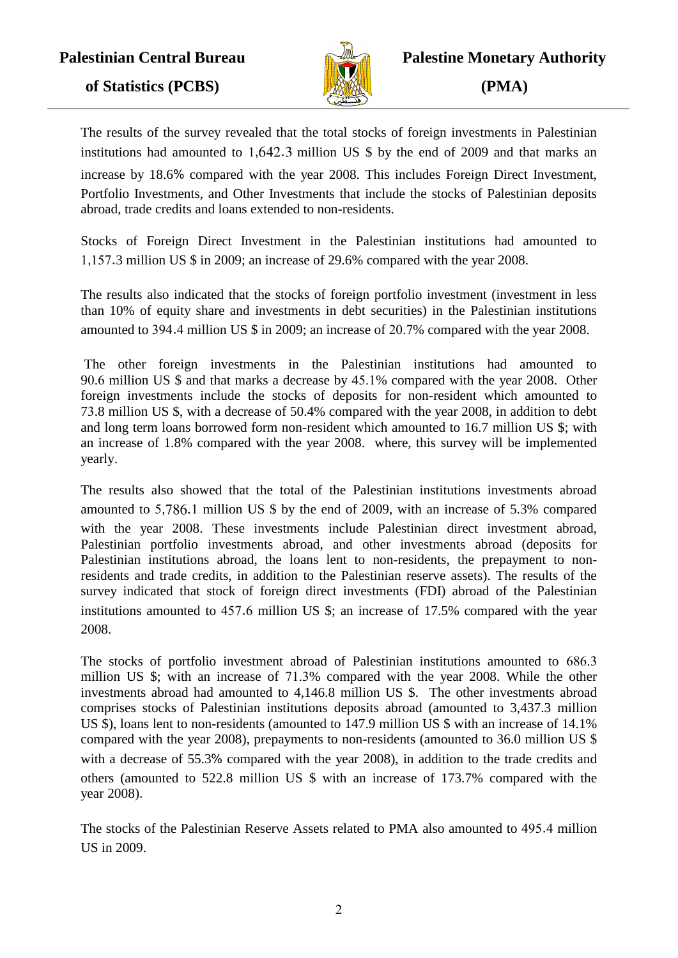

The results of the survey revealed that the total stocks of foreign investments in Palestinian institutions had amounted to  $1,642.3$  million US \$ by the end of 2009 and that marks an

increase by 18.6% compared with the year 2008. This includes Foreign Direct Investment, Portfolio Investments, and Other Investments that include the stocks of Palestinian deposits abroad, trade credits and loans extended to non-residents.

Stocks of Foreign Direct Investment in the Palestinian institutions had amounted to 1 151 3 million US \$ in 2009; an increase of 29.6% compared with the year 2008.

The results also indicated that the stocks of foreign portfolio investment (investment in less than 10% of equity share and investments in debt securities) in the Palestinian institutions amounted to 394.4 million US  $\frac{1}{2}$  in 2009; an increase of 20.7% compared with the year 2008.

The other foreign investments in the Palestinian institutions had amounted to 90.6 million US  $\$$  and that marks a decrease by 45.1% compared with the year 2008. Other foreign investments include the stocks of deposits for non-resident which amounted to 73.8 million US \$, with a decrease of 50.4% compared with the year 2008, in addition to debt and long term loans borrowed form non-resident which amounted to 16.7 million US \$; with an increase of 1.8% compared with the year 2008. where, this survey will be implemented yearly.

The results also showed that the total of the Palestinian institutions investments abroad amounted to  $5,786.1$  million US  $\frac{1}{5}$  by the end of 2009, with an increase of  $5.3\%$  compared with the year 2008. These investments include Palestinian direct investment abroad, Palestinian portfolio investments abroad, and other investments abroad (deposits for Palestinian institutions abroad, the loans lent to non-residents, the prepayment to nonresidents and trade credits, in addition to the Palestinian reserve assets). The results of the survey indicated that stock of foreign direct investments (FDI) abroad of the Palestinian institutions amounted to 457.6 million US \$; an increase of 17.5% compared with the year 2008.

The stocks of portfolio investment abroad of Palestinian institutions amounted to 686.3 million US  $\$ ; with an increase of 71.3% compared with the year 2008. While the other investments abroad had amounted to 4,146.8 million US \$. The other investments abroad comprises stocks of Palestinian institutions deposits abroad (amounted to 3,437.3 million US \$), loans lent to non-residents (amounted to 147.9 million US \$ with an increase of 14.1% compared with the year 2008), prepayments to non-residents (amounted to 36.0 million US \$ with a decrease of 55.3% compared with the year 2008), in addition to the trade credits and others (amounted to 522.8 million US \$ with an increase of 173.7% compared with the year 2008).

The stocks of the Palestinian Reserve Assets related to PMA also amounted to 495.4 million US in 2009.